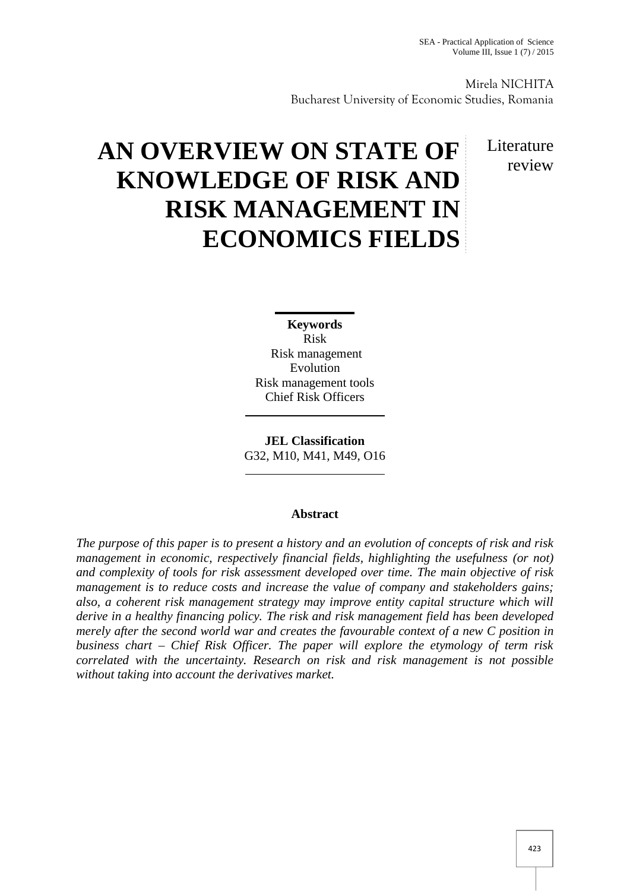Mirela NICHITA Bucharest University of Economic Studies, Romania

# **AN OVERVIEW ON STATE OF KNOWLEDGE OF RISK AND RISK MANAGEMENT IN ECONOMICS FIELDS**

## Literature review

**Keywords** Risk Risk management Evolution Risk management tools Chief Risk Officers

**JEL Classification** G32, M10, M41, M49, O16

## **Abstract**

*The purpose of this paper is to present a history and an evolution of concepts of risk and risk management in economic, respectively financial fields, highlighting the usefulness (or not) and complexity of tools for risk assessment developed over time. The main objective of risk management is to reduce costs and increase the value of company and stakeholders gains; also, a coherent risk management strategy may improve entity capital structure which will derive in a healthy financing policy. The risk and risk management field has been developed merely after the second world war and creates the favourable context of a new C position in business chart – Chief Risk Officer. The paper will explore the etymology of term risk correlated with the uncertainty. Research on risk and risk management is not possible without taking into account the derivatives market.*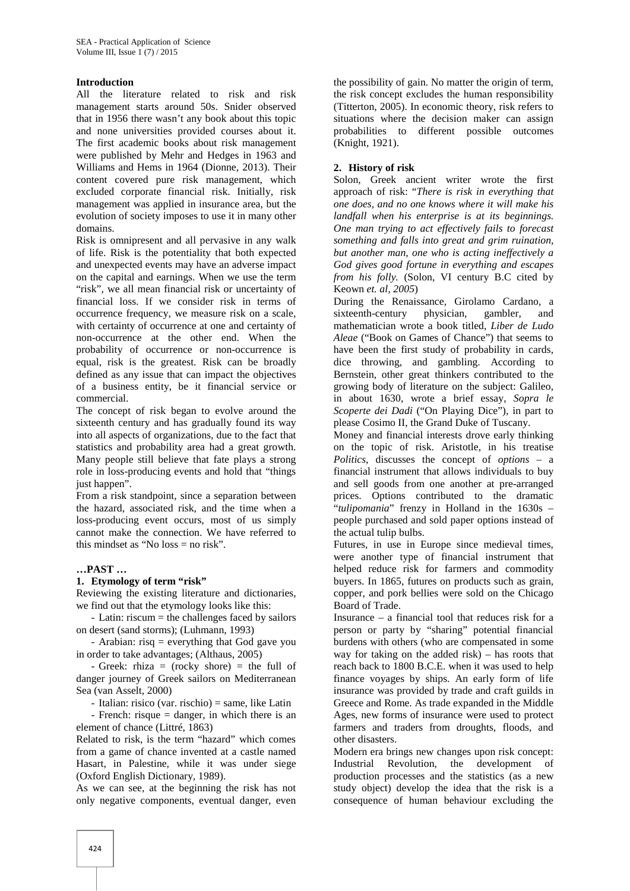#### **Introduction**

All the literature related to risk and risk management starts around 50s. Snider observed that in 1956 there wasn't any book about this topic and none universities provided courses about it. The first academic books about risk management were published by Mehr and Hedges in 1963 and Williams and Hems in 1964 (Dionne, 2013). Their content covered pure risk management, which excluded corporate financial risk. Initially, risk management was applied in insurance area, but the evolution of society imposes to use it in many other domains.

Risk is omnipresent and all pervasive in any walk of life. Risk is the potentiality that both expected and unexpected events may have an adverse impact on the capital and earnings. When we use the term "risk", we all mean financial risk or uncertainty of financial loss. If we consider risk in terms of occurrence frequency, we measure risk on a scale, with certainty of occurrence at one and certainty of non-occurrence at the other end. When the probability of occurrence or non-occurrence is equal, risk is the greatest. Risk can be broadly defined as any issue that can impact the objectives of a business entity, be it financial service or commercial.

The concept of risk began to evolve around the sixteenth century and has gradually found its way into all aspects of organizations, due to the fact that statistics and probability area had a great growth. Many people still believe that fate plays a strong role in loss-producing events and hold that "things just happen".

From a risk standpoint, since a separation between the hazard, associated risk, and the time when a loss-producing event occurs, most of us simply cannot make the connection. We have referred to this mindset as "No  $loss = no risk$ ".

#### **…PAST …**

#### **1. Etymology of term "risk"**

Reviewing the existing literature and dictionaries, we find out that the etymology looks like this:

- Latin: riscum = the challenges faced by sailors on desert (sand storms); (Luhmann, 1993)

- Arabian: risq = everything that God gave you in order to take advantages; (Althaus, 2005)

- Greek: rhiza =  $(rocky \text{ shore})$  = the full of danger journey of Greek sailors on Mediterranean Sea (van Asselt, 2000)

- Italian: risico (var. rischio) = same, like Latin

- French: risque = danger, in which there is an element of chance (Littré, 1863)

Related to risk, is the term "hazard" which comes from a game of chance invented at a castle named Hasart, in Palestine, while it was under siege (Oxford English Dictionary, 1989).

As we can see, at the beginning the risk has not only negative components, eventual danger, even

the possibility of gain. No matter the origin of term, the risk concept excludes the human responsibility (Titterton, 2005). In economic theory, risk refers to situations where the decision maker can assign probabilities to different possible outcomes (Knight, 1921).

#### **2. History of risk**

Solon, Greek ancient writer wrote the first approach of risk: "*There is risk in everything that one does, and no one knows where it will make his landfall when his enterprise is at its beginnings. One man trying to act effectively fails to forecast something and falls into great and grim ruination, but another man, one who is acting ineffectively a God gives good fortune in everything and escapes from his folly.* (Solon, VI century B.C cited by Keown *et. al, 2005*)

During the Renaissance, Girolamo Cardano, a sixteenth-century physician, gambler, and mathematician wrote a book titled, *Liber de Ludo Aleae* ("Book on Games of Chance") that seems to have been the first study of probability in cards, dice throwing, and gambling. According to Bernstein, other great thinkers contributed to the growing body of literature on the subject: Galileo, in about 1630, wrote a brief essay, *Sopra le Scoperte dei Dadi* ("On Playing Dice"), in part to please Cosimo II, the Grand Duke of Tuscany.

Money and financial interests drove early thinking on the topic of risk. Aristotle, in his treatise *Politics*, discusses the concept of *options* – a financial instrument that allows individuals to buy and sell goods from one another at pre-arranged prices. Options contributed to the dramatic "*tulipomania*" frenzy in Holland in the 1630s – people purchased and sold paper options instead of the actual tulip bulbs.

Futures, in use in Europe since medieval times, were another type of financial instrument that helped reduce risk for farmers and commodity buyers. In 1865, futures on products such as grain, copper, and pork bellies were sold on the Chicago Board of Trade.

Insurance – a financial tool that reduces risk for a person or party by "sharing" potential financial burdens with others (who are compensated in some way for taking on the added risk) – has roots that reach back to 1800 B.C.E. when it was used to help finance voyages by ships. An early form of life insurance was provided by trade and craft guilds in Greece and Rome. As trade expanded in the Middle Ages, new forms of insurance were used to protect farmers and traders from droughts, floods, and other disasters.

Modern era brings new changes upon risk concept: Industrial Revolution, the development of production processes and the statistics (as a new study object) develop the idea that the risk is a consequence of human behaviour excluding the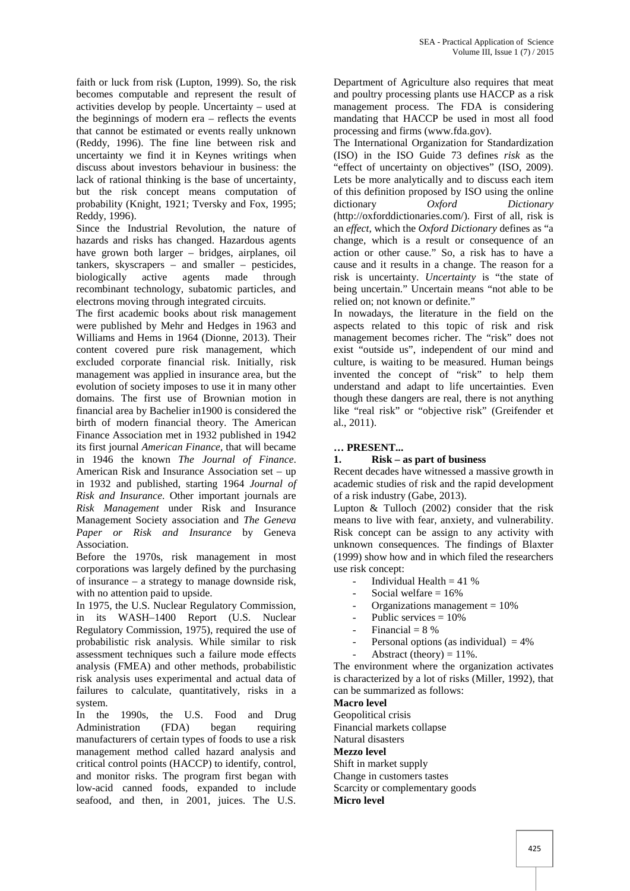faith or luck from risk (Lupton, 1999). So, the risk becomes computable and represent the result of activities develop by people. Uncertainty – used at the beginnings of modern era – reflects the events that cannot be estimated or events really unknown (Reddy, 1996). The fine line between risk and uncertainty we find it in Keynes writings when discuss about investors behaviour in business: the lack of rational thinking is the base of uncertainty, but the risk concept means computation of probability (Knight, 1921; Tversky and Fox, 1995; Reddy, 1996).

Since the Industrial Revolution, the nature of hazards and risks has changed. Hazardous agents have grown both larger – bridges, airplanes, oil tankers, skyscrapers – and smaller – pesticides, biologically active agents made through recombinant technology, subatomic particles, and electrons moving through integrated circuits.

The first academic books about risk management were published by Mehr and Hedges in 1963 and Williams and Hems in 1964 (Dionne, 2013). Their content covered pure risk management, which excluded corporate financial risk. Initially, risk management was applied in insurance area, but the evolution of society imposes to use it in many other domains. The first use of Brownian motion in financial area by Bachelier in1900 is considered the birth of modern financial theory. The American Finance Association met in 1932 published in 1942 its first journal *American Finance,* that will became in 1946 the known *The Journal of Finance*. American Risk and Insurance Association set – up in 1932 and published, starting 1964 *Journal of Risk and Insurance*. Other important journals are *Risk Management* under Risk and Insurance Management Society association and *The Geneva Paper or Risk and Insurance* by Geneva Association.

Before the 1970s, risk management in most corporations was largely defined by the purchasing of insurance – a strategy to manage downside risk, with no attention paid to upside.

In 1975, the U.S. Nuclear Regulatory Commission, in its WASH–1400 Report (U.S. Nuclear Regulatory Commission, 1975), required the use of probabilistic risk analysis. While similar to risk assessment techniques such a failure mode effects analysis (FMEA) and other methods, probabilistic risk analysis uses experimental and actual data of failures to calculate, quantitatively, risks in a system.

In the 1990s, the U.S. Food and Drug Administration (FDA) began requiring manufacturers of certain types of foods to use a risk management method called hazard analysis and critical control points (HACCP) to identify, control, and monitor risks. The program first began with low-acid canned foods, expanded to include seafood, and then, in 2001, juices. The U.S.

Department of Agriculture also requires that meat and poultry processing plants use HACCP as a risk management process. The FDA is considering mandating that HACCP be used in most all food processing and firms (www.fda.gov).

The International Organization for Standardization (ISO) in the ISO Guide 73 defines *risk* as the "effect of uncertainty on objectives" (ISO, 2009). Lets be more analytically and to discuss each item % of this definition proposed by ISO using the online dictionary  $Oxford$  Dictionary dictionary *Oxford Dictionary* (http://oxforddictionaries.com/). First of all, risk is an *effect*, which the *Oxford Dictionary* defines as "a change, which is a result or consequence of an action or other cause." So, a risk has to have a cause and it results in a change. The reason for a risk is uncertainty. *Uncertainty* is "the state of being uncertain." Uncertain means "not able to be relied on; not known or definite."

In nowadays, the literature in the field on the aspects related to this topic of risk and risk management becomes richer. The "risk" does not exist "outside us", independent of our mind and culture, is waiting to be measured. Human beings invented the concept of "risk" to help them understand and adapt to life uncertainties. Even though these dangers are real, there is not anything like "real risk" or "objective risk" (Greifender et al., 2011).

## **… PRESENT...**

## **1. Risk – as part of business**

Recent decades have witnessed a massive growth in academic studies of risk and the rapid development of a risk industry (Gabe, 2013).

Lupton & Tulloch (2002) consider that the risk means to live with fear, anxiety, and vulnerability. Risk concept can be assign to any activity with unknown consequences. The findings of Blaxter (1999) show how and in which filed the researchers use risk concept:

- Individual Health  $= 41$  %
- Social welfare  $= 16%$
- Organizations management  $= 10\%$
- Public services  $= 10%$
- Financial  $= 8\%$
- Personal options (as individual)  $= 4\%$
- Abstract (theory)  $= 11\%$ .

The environment where the organization activates is characterized by a lot of risks (Miller, 1992), that can be summarized as follows:

## **Macro level**

Geopolitical crisis

Financial markets collapse

#### Natural disasters **Mezzo level**

Shift in market supply Change in customers tastes Scarcity or complementary goods **Micro level**

425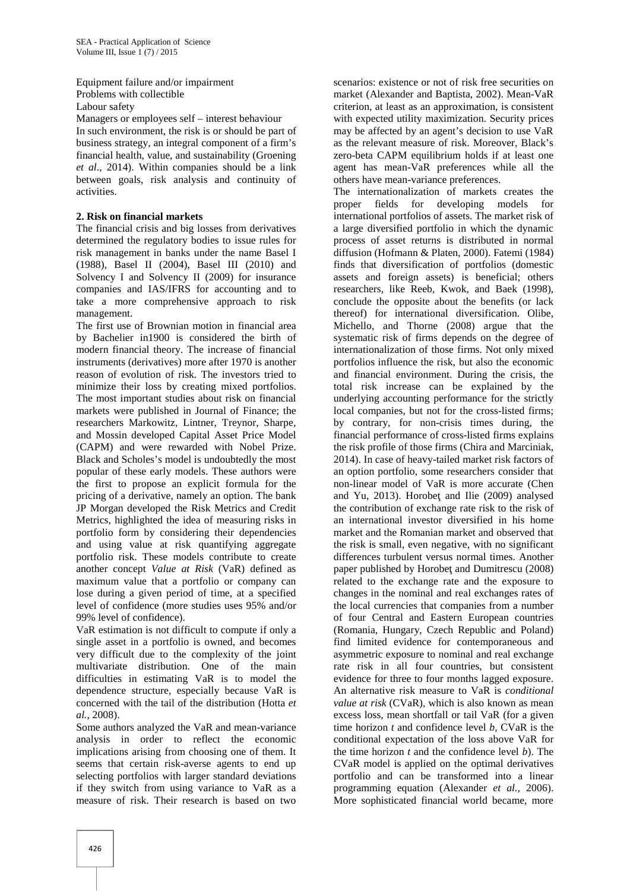#### Equipment failure and/or impairment Problems with collectible

## Labour safety

Managers or employees self – interest behaviour In such environment, the risk is or should be part of business strategy, an integral component of a firm's financial health, value, and sustainability (Groening *et al*., 2014). Within companies should be a link between goals, risk analysis and continuity of activities.

## **2. Risk on financial markets**

The financial crisis and big losses from derivatives determined the regulatory bodies to issue rules for risk management in banks under the name Basel I (1988), Basel II (2004), Basel III (2010) and Solvency I and Solvency II (2009) for insurance companies and IAS/IFRS for accounting and to take a more comprehensive approach to risk management.

The first use of Brownian motion in financial area by Bachelier in1900 is considered the birth of modern financial theory. The increase of financial instruments (derivatives) more after 1970 is another reason of evolution of risk. The investors tried to minimize their loss by creating mixed portfolios. The most important studies about risk on financial markets were published in Journal of Finance; the researchers Markowitz, Lintner, Treynor, Sharpe, and Mossin developed Capital Asset Price Model (CAPM) and were rewarded with Nobel Prize. Black and Scholes's model is undoubtedly the most popular of these early models. These authors were the first to propose an explicit formula for the pricing of a derivative, namely an option. The bank JP Morgan developed the Risk Metrics and Credit Metrics, highlighted the idea of measuring risks in portfolio form by considering their dependencies and using value at risk quantifying aggregate portfolio risk. These models contribute to create another concept *Value at Risk* (VaR) defined as maximum value that a portfolio or company can lose during a given period of time, at a specified level of confidence (more studies uses 95% and/or 99% level of confidence).

VaR estimation is not difficult to compute if only a single asset in a portfolio is owned, and becomes very difficult due to the complexity of the joint multivariate distribution. One of the main difficulties in estimating VaR is to model the dependence structure, especially because VaR is concerned with the tail of the distribution (Hotta *et al.,* 2008).

Some authors analyzed the VaR and mean-variance analysis in order to reflect the economic implications arising from choosing one of them. It seems that certain risk-averse agents to end up selecting portfolios with larger standard deviations if they switch from using variance to VaR as a measure of risk. Their research is based on two

scenarios: existence or not of risk free securities on market (Alexander and Baptista, 2002). Mean-VaR criterion, at least as an approximation, is consistent with expected utility maximization. Security prices may be affected by an agent's decision to use VaR as the relevant measure of risk. Moreover, Black's zero-beta CAPM equilibrium holds if at least one agent has mean-VaR preferences while all the others have mean-variance preferences.

The internationalization of markets creates the proper fields for developing models for international portfolios of assets. The market risk of a large diversified portfolio in which the dynamic process of asset returns is distributed in normal diffusion (Hofmann & Platen, 2000). Fatemi (1984) finds that diversification of portfolios (domestic assets and foreign assets) is beneficial; others researchers, like Reeb, Kwok, and Baek (1998), conclude the opposite about the benefits (or lack thereof) for international diversification. Olibe, Michello, and Thorne (2008) argue that the systematic risk of firms depends on the degree of internationalization of those firms. Not only mixed portfolios influence the risk, but also the economic and financial environment. During the crisis, the total risk increase can be explained by the underlying accounting performance for the strictly local companies, but not for the cross-listed firms; by contrary, for non-crisis times during, the financial performance of cross-listed firms explains the risk profile of those firms (Chira and Marciniak, 2014). In case of heavy-tailed market risk factors of an option portfolio, some researchers consider that non-linear model of VaR is more accurate (Chen and Yu,  $2013$ ). Horobe and Ilie (2009) analysed the contribution of exchange rate risk to the risk of an international investor diversified in his home market and the Romanian market and observed that the risk is small, even negative, with no significant differences turbulent versus normal times. Another paper published by Horobe and Dumitrescu (2008) related to the exchange rate and the exposure to changes in the nominal and real exchanges rates of the local currencies that companies from a number of four Central and Eastern European countries (Romania, Hungary, Czech Republic and Poland) find limited evidence for contemporaneous and asymmetric exposure to nominal and real exchange rate risk in all four countries, but consistent evidence for three to four months lagged exposure. An alternative risk measure to VaR is *conditional value at risk* (CVaR), which is also known as mean excess loss, mean shortfall or tail VaR (for a given time horizon *t* and confidence level *b*, CVaR is the conditional expectation of the loss above VaR for the time horizon *t* and the confidence level *b*). The CVaR model is applied on the optimal derivatives portfolio and can be transformed into a linear programming equation (Alexander *et al.,* 2006). More sophisticated financial world became, more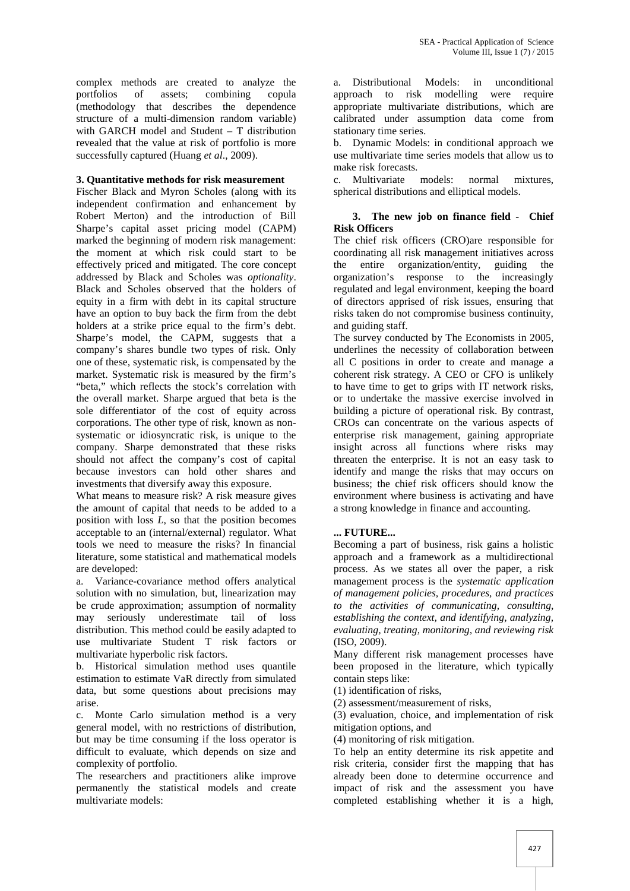complex methods are created to analyze the portfolios of assets; combining copula (methodology that describes the dependence structure of a multi-dimension random variable) with GARCH model and Student – T distribution revealed that the value at risk of portfolio is more successfully captured (Huang *et al*., 2009).

## **3. Quantitative methods for risk measurement**

Fischer Black and Myron Scholes (along with its independent confirmation and enhancement by Robert Merton) and the introduction of Bill Sharpe's capital asset pricing model (CAPM) marked the beginning of modern risk management: the moment at which risk could start to be effectively priced and mitigated. The core concept addressed by Black and Scholes was *optionality*. Black and Scholes observed that the holders of equity in a firm with debt in its capital structure have an option to buy back the firm from the debt holders at a strike price equal to the firm's debt. Sharpe's model, the CAPM, suggests that a company's shares bundle two types of risk. Only one of these, systematic risk, is compensated by the market. Systematic risk is measured by the firm's "beta," which reflects the stock's correlation with the overall market. Sharpe argued that beta is the sole differentiator of the cost of equity across corporations. The other type of risk, known as non systematic or idiosyncratic risk, is unique to the company. Sharpe demonstrated that these risks should not affect the company's cost of capital because investors can hold other shares and investments that diversify away this exposure.

What means to measure risk? A risk measure gives the amount of capital that needs to be added to a position with loss *L*, so that the position becomes acceptable to an (internal/external) regulator. What tools we need to measure the risks? In financial literature, some statistical and mathematical models are developed:

a. Variance-covariance method offers analytical solution with no simulation, but, linearization may be crude approximation; assumption of normality may seriously underestimate tail of loss distribution. This method could be easily adapted to use multivariate Student T risk factors or multivariate hyperbolic risk factors.

b. Historical simulation method uses quantile estimation to estimate VaR directly from simulated data, but some questions about precisions may arise.

c. Monte Carlo simulation method is a very general model, with no restrictions of distribution, but may be time consuming if the loss operator is difficult to evaluate, which depends on size and complexity of portfolio.

The researchers and practitioners alike improve permanently the statistical models and create multivariate models:

a. Distributional Models: in unconditional approach to risk modelling were require appropriate multivariate distributions, which are calibrated under assumption data come from stationary time series.

b. Dynamic Models: in conditional approach we use multivariate time series models that allow us to make risk forecasts.

c. Multivariate models: normal mixtures, spherical distributions and elliptical models.

## **3. The new job on finance field - Chief Risk Officers**

The chief risk officers (CRO)are responsible for coordinating all risk management initiatives across the entire organization/entity, guiding the organization's response to the increasingly regulated and legal environment, keeping the board of directors apprised of risk issues, ensuring that risks taken do not compromise business continuity, and guiding staff.

The survey conducted by The Economists in 2005, underlines the necessity of collaboration between all C positions in order to create and manage a coherent risk strategy. A CEO or CFO is unlikely to have time to get to grips with IT network risks, or to undertake the massive exercise involved in building a picture of operational risk. By contrast, CROs can concentrate on the various aspects of enterprise risk management, gaining appropriate insight across all functions where risks may threaten the enterprise. It is not an easy task to identify and mange the risks that may occurs on business; the chief risk officers should know the environment where business is activating and have a strong knowledge in finance and accounting.

## **... FUTURE...**

Becoming a part of business, risk gains a holistic approach and a framework as a multidirectional process. As we states all over the paper, a risk management process is the *systematic application of management policies, procedures, and practices to the activities of communicating, consulting, establishing the context, and identifying, analyzing, evaluating, treating, monitoring, and reviewing risk* (ISO, 2009).

Many different risk management processes have been proposed in the literature, which typically contain steps like:

(1) identification of risks,

(2) assessment/measurement of risks,

(3) evaluation, choice, and implementation of risk mitigation options, and

(4) monitoring of risk mitigation.

To help an entity determine its risk appetite and risk criteria, consider first the mapping that has already been done to determine occurrence and impact of risk and the assessment you have completed establishing whether it is a high,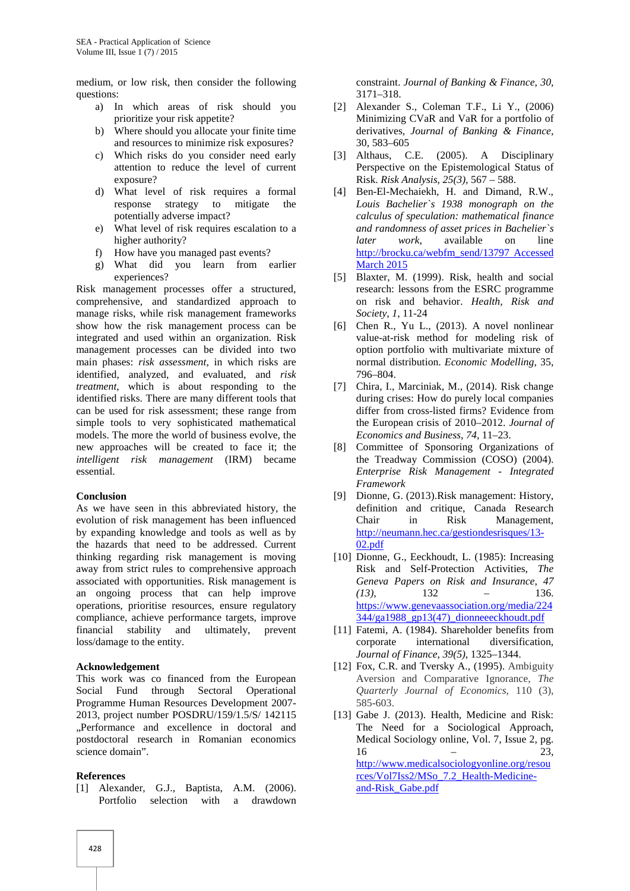medium, or low risk, then consider the following questions:

- a) In which areas of risk should you prioritize your risk appetite?
- b) Where should you allocate your finite time and resources to minimize risk exposures?
- c) Which risks do you consider need early attention to reduce the level of current exposure?
- d) What level of risk requires a formal response strategy to mitigate the potentially adverse impact?
- e) What level of risk requires escalation to a higher authority?
- f) How have you managed past events?
- g) What did you learn from earlier experiences?

Risk management processes offer a structured, comprehensive, and standardized approach to manage risks, while risk management frameworks show how the risk management process can be integrated and used within an organization. Risk management processes can be divided into two main phases: *risk assessment*, in which risks are identified, analyzed, and evaluated, and *risk treatment*, which is about responding to the identified risks. There are many different tools that can be used for risk assessment; these range from simple tools to very sophisticated mathematical models. The more the world of business evolve, the new approaches will be created to face it; the *intelligent risk management* (IRM) became essential.

#### **Conclusion**

As we have seen in this abbreviated history, the evolution of risk management has been influenced by expanding knowledge and tools as well as by the hazards that need to be addressed. Current thinking regarding risk management is moving away from strict rules to comprehensive approach associated with opportunities. Risk management is an ongoing process that can help improve operations, prioritise resources, ensure regulatory compliance, achieve performance targets, improve financial stability and ultimately, prevent loss/damage to the entity.

#### **Acknowledgement**

This work was co financed from the European Social Fund through Sectoral Operational Programme Human Resources Development 2007- 2013, project number POSDRU/159/1.5/S/ 142115 "Performance and excellence in doctoral and postdoctoral research in Romanian economics science domain".

#### **References**

[1] Alexander, G.J., Baptista, A.M. (2006). Portfolio selection with a drawdown constraint. *Journal of Banking & Finance*, *30*, 3171–318.

- [2] Alexander S., Coleman T.F., Li Y., (2006) Minimizing CVaR and VaR for a portfolio of derivatives, *Journal of Banking & Finance,* 30, 583–605
- [3] Althaus, C.E. (2005). A Disciplinary Perspective on the Epistemological Status of Risk. *Risk Analysis*, *25(3),* 567 – 588.
- [4] Ben-El-Mechaiekh, H. and Dimand, R.W., *Louis Bachelier`s 1938 monograph on the calculus of speculation: mathematical finance and randomness of asset prices in Bachelier`s later work*, available on line http://brocku.ca/webfm\_send/13797 Accessed March 2015
- [5] Blaxter, M. (1999). Risk, health and social research: lessons from the ESRC programme on risk and behavior. *Health, Risk and Society*, *1*, 11-24
- [6] Chen R., Yu L., (2013). A novel nonlinear value-at-risk method for modeling risk of option portfolio with multivariate mixture of normal distribution. *Economic Modelling*, 35, 796–804.
- [7] Chira, I., Marciniak, M., (2014). Risk change during crises: How do purely local companies differ from cross-listed firms? Evidence from the European crisis of 2010–2012. *Journal of Economics and Business*, *74*, 11–23.
- [8] Committee of Sponsoring Organizations of the Treadway Commission (COSO) (2004). *Enterprise Risk Management - Integrated Framework*
- [9] Dionne, G. (2013).Risk management: History, definition and critique, Canada Research Chair in Risk Management, http://neumann.hec.ca/gestiondesrisques/13- 02.pdf
- [10] Dionne, G., Eeckhoudt, L. (1985): Increasing Risk and Self-Protection Activities, *The Geneva Papers on Risk and Insurance*, *47 (13),* 132 – 136. https://www.genevaassociation.org/media/224 344/ga1988\_gp13(47)\_dionneeeckhoudt.pdf
- [11] Fatemi, A. (1984). Shareholder benefits from corporate international diversification, *Journal of Finance*, *39(5),* 1325–1344.
- [12] Fox, C.R. and Tversky A., (1995). Ambiguity Aversion and Comparative Ignorance, *The Quarterly Journal of Economics*, 110 (3), 585-603.
- [13] Gabe J. (2013). Health, Medicine and Risk: The Need for a Sociological Approach, Medical Sociology online, Vol. 7, Issue 2, pg.  $16 - 23$ , http://www.medicalsociologyonline.org/resou rces/Vol7Iss2/MSo\_7.2\_Health-Medicine and-Risk\_Gabe.pdf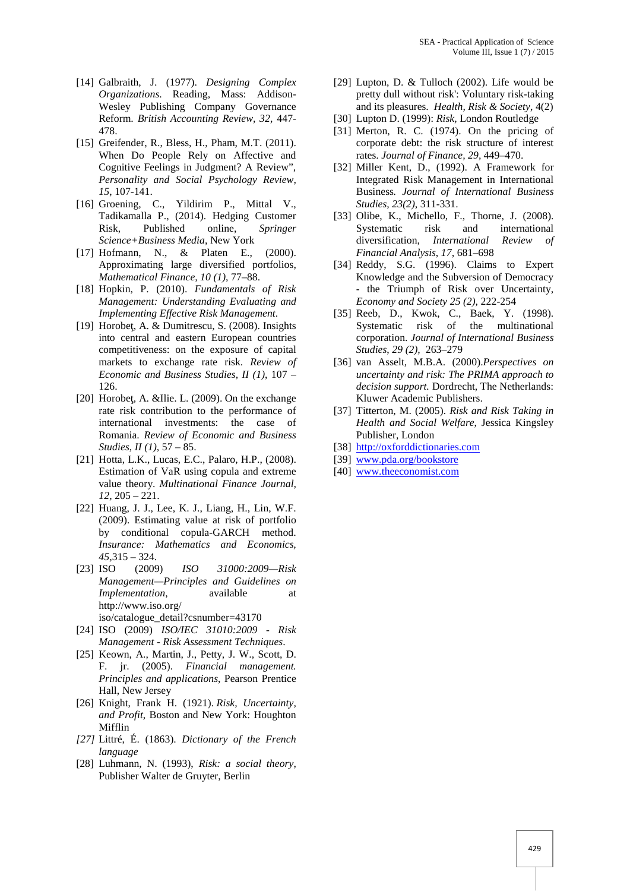- [14] Galbraith, J. (1977). *Designing Complex Organizations*. Reading, Mass: Addison- Wesley Publishing Company Governance Reform. *British Accounting Review, 32,* 447- 478.
- [15] Greifender, R., Bless, H., Pham, M.T. (2011). When Do People Rely on Affective and Cognitive Feelings in Judgment? A Review", *Personality and Social Psychology Review, 15*, 107-141.
- [16] Groening, C., Yildirim P., Mittal V., Tadikamalla P., (2014). Hedging Customer Risk, Published online, *Springer Science+Business Media*, New York
- [17] Hofmann, N., & Platen E., (2000). Approximating large diversified portfolios, *Mathematical Finance, 10 (1)*, 77–88.
- [18] Hopkin, P. (2010). *Fundamentals of Risk Management: Understanding Evaluating and Implementing Effective Risk Management*.
- [19] Horobe, A. & Dumitrescu, S. (2008). Insights into central and eastern European countries competitiveness: on the exposure of capital markets to exchange rate risk. *Review of Economic and Business Studies, II (1)*, 107 – 126.
- [20] Horobe, A. &Ilie. L.  $(2009)$ . On the exchange rate risk contribution to the performance of international investments: the case of Romania. *Review of Economic and Business Studies*, *II (1),* 57 – 85.
- [21] Hotta, L.K., Lucas, E.C., Palaro, H.P., (2008). Estimation of VaR using copula and extreme value theory. *Multinational Finance Journal, 12,* 205 – 221.
- [22] Huang, J. J., Lee, K. J., Liang, H., Lin, W.F. (2009). Estimating value at risk of portfolio by conditional copula-GARCH method. *Insurance: Mathematics and Economics, 45,*315 – 324.
- [23] ISO (2009) *ISO 31000:2009—Risk Management—Principles and Guidelines on Implementation*, available at http://www.iso.org/ iso/catalogue\_detail?csnumber=43170
- [24] ISO (2009) *ISO/IEC 31010:2009 - Risk*
- *Management - Risk Assessment Techniques*. [25] Keown, A., Martin, J., Petty, J. W., Scott, D.
- F. jr. (2005). *Financial management. Principles and applications*, Pearson Prentice Hall, New Jersey
- [26] Knight, Frank H. (1921). *Risk, Uncertainty, and Profit*, Boston and New York: Houghton Mifflin
- *[27]* Littré, É. (1863). *Dictionary of the French language*
- [28] Luhmann, N. (1993), *Risk: a social theory*, Publisher Walter de Gruyter, Berlin
- [29] Lupton, D. & Tulloch (2002). Life would be pretty dull without risk': Voluntary risk-taking and its pleasures. *Health, Risk & Society*, 4(2)
- [30] Lupton D. (1999): *Risk,* London Routledge
- [31] Merton, R. C. (1974). On the pricing of corporate debt: the risk structure of interest rates. *Journal of Finance, 29,* 449–470.
- [32] Miller Kent, D., (1992). A Framework for Integrated Risk Management in International Business*. Journal of International Business Studies, 23(2)*, 311-331.
- [33] Olibe, K., Michello, F., Thorne, J. (2008). Systematic risk and international diversification, *International Review of Financial Analysis*, *17,* 681–698
- [34] Reddy, S.G. (1996). Claims to Expert Knowledge and the Subversion of Democracy - the Triumph of Risk over Uncertainty, *Economy and Society 25 (2),* 222-254
- [35] Reeb, D., Kwok, C., Baek, Y. (1998). Systematic risk of the multinational corporation. *Journal of International Business Studies*, *29 (2),* 263–279
- [36] van Asselt, M.B.A. (2000).*Perspectives on uncertainty and risk: The PRIMA approach to decision support.* Dordrecht, The Netherlands: Kluwer Academic Publishers.
- [37] Titterton, M. (2005). *Risk and Risk Taking in Health and Social Welfare*, Jessica Kingsley Publisher, London
- [38] http://oxforddictionaries.com
- [39] www.pda.org/bookstore
- [40] www.theeconomist.com